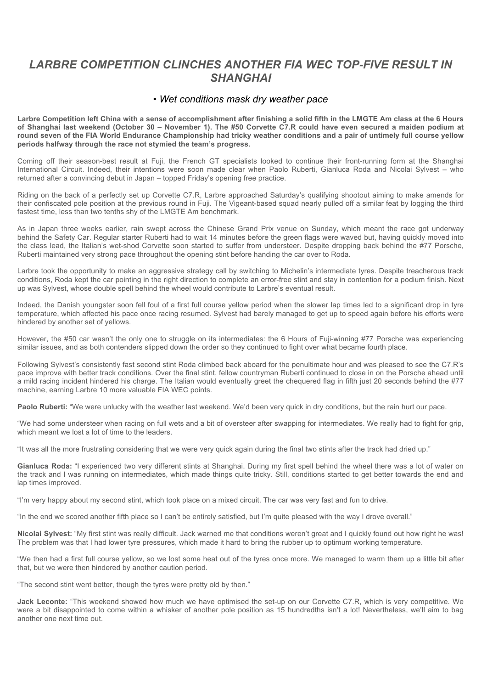## LARBRE COMPETITION CLINCHES ANOTHER FIA WEC TOP-FIVE RESULT IN *SHANGHAI*

## *• Wet conditions mask dry weather pace*

**Larbre Competition left China with a sense of accomplishment after finishing a solid fifth in the LMGTE Am class at the 6 Hours of Shanghai last weekend (October 30 – November 1). The #50 Corvette C7.R could have even secured a maiden podium at round seven of the FIA World Endurance Championship had tricky weather conditions and a pair of untimely full course yellow periods halfway through the race not stymied the team's progress.**

Coming off their season-best result at Fuji, the French GT specialists looked to continue their front-running form at the Shanghai International Circuit. Indeed, their intentions were soon made clear when Paolo Ruberti, Gianluca Roda and Nicolai Sylvest – who returned after a convincing debut in Japan – topped Friday's opening free practice.

Riding on the back of a perfectly set up Corvette C7.R, Larbre approached Saturday's qualifying shootout aiming to make amends for their confiscated pole position at the previous round in Fuji. The Vigeant-based squad nearly pulled off a similar feat by logging the third fastest time, less than two tenths shy of the LMGTE Am benchmark.

As in Japan three weeks earlier, rain swept across the Chinese Grand Prix venue on Sunday, which meant the race got underway behind the Safety Car. Regular starter Ruberti had to wait 14 minutes before the green flags were waved but, having quickly moved into the class lead, the Italian's wet-shod Corvette soon started to suffer from understeer. Despite dropping back behind the #77 Porsche, Ruberti maintained very strong pace throughout the opening stint before handing the car over to Roda.

Larbre took the opportunity to make an aggressive strategy call by switching to Michelin's intermediate tyres. Despite treacherous track conditions, Roda kept the car pointing in the right direction to complete an error-free stint and stay in contention for a podium finish. Next up was Sylvest, whose double spell behind the wheel would contribute to Larbre's eventual result.

Indeed, the Danish youngster soon fell foul of a first full course yellow period when the slower lap times led to a significant drop in tyre temperature, which affected his pace once racing resumed. Sylvest had barely managed to get up to speed again before his efforts were hindered by another set of yellows.

However, the #50 car wasn't the only one to struggle on its intermediates: the 6 Hours of Fuji-winning #77 Porsche was experiencing similar issues, and as both contenders slipped down the order so they continued to fight over what became fourth place.

Following Sylvest's consistently fast second stint Roda climbed back aboard for the penultimate hour and was pleased to see the C7.R's pace improve with better track conditions. Over the final stint, fellow countryman Ruberti continued to close in on the Porsche ahead until a mild racing incident hindered his charge. The Italian would eventually greet the chequered flag in fifth just 20 seconds behind the #77 machine, earning Larbre 10 more valuable FIA WEC points.

Paolo Ruberti: "We were unlucky with the weather last weekend. We'd been very quick in dry conditions, but the rain hurt our pace.

"We had some understeer when racing on full wets and a bit of oversteer after swapping for intermediates. We really had to fight for grip, which meant we lost a lot of time to the leaders.

"It was all the more frustrating considering that we were very quick again during the final two stints after the track had dried up."

Gianluca Roda: "I experienced two very different stints at Shanghai. During my first spell behind the wheel there was a lot of water on the track and I was running on intermediates, which made things quite tricky. Still, conditions started to get better towards the end and lap times improved.

"I'm very happy about my second stint, which took place on a mixed circuit. The car was very fast and fun to drive.

"In the end we scored another fifth place so I can't be entirely satisfied, but I'm quite pleased with the way I drove overall."

**Nicolai Sylvest:** "My first stint was really difficult. Jack warned me that conditions weren't great and I quickly found out how right he was! The problem was that I had lower tyre pressures, which made it hard to bring the rubber up to optimum working temperature.

"We then had a first full course yellow, so we lost some heat out of the tyres once more. We managed to warm them up a little bit after that, but we were then hindered by another caution period.

"The second stint went better, though the tyres were pretty old by then."

**Jack Leconte:** "This weekend showed how much we have optimised the set-up on our Corvette C7.R, which is very competitive. We were a bit disappointed to come within a whisker of another pole position as 15 hundredths isn't a lot! Nevertheless, we'll aim to bag another one next time out.